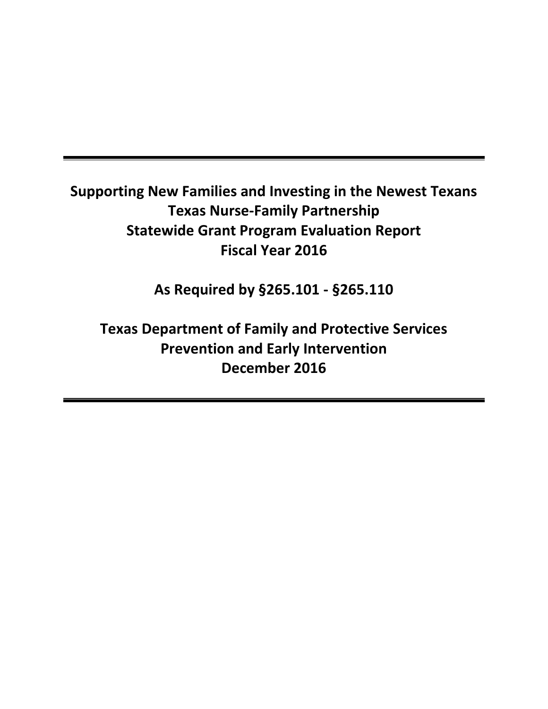# **Supporting New Families and Investing in the Newest Texans Texas Nurse-Family Partnership Statewide Grant Program Evaluation Report Fiscal Year 2016**

**As Required by §265.101 - §265.110**

**Texas Department of Family and Protective Services Prevention and Early Intervention December 2016**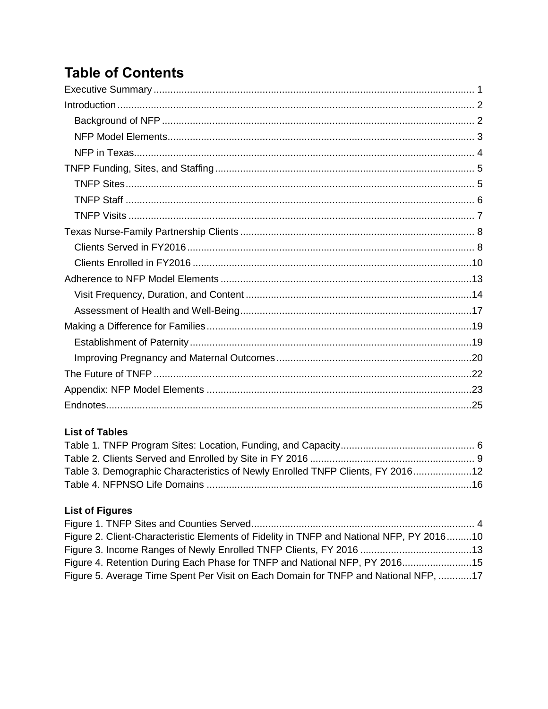# **Table of Contents**

### **List of Tables**

| Table 3. Demographic Characteristics of Newly Enrolled TNFP Clients, FY 201612 |  |
|--------------------------------------------------------------------------------|--|
|                                                                                |  |
|                                                                                |  |

### **List of Figures**

| Figure 2. Client-Characteristic Elements of Fidelity in TNFP and National NFP, PY 201610 |  |
|------------------------------------------------------------------------------------------|--|
|                                                                                          |  |
| Figure 4. Retention During Each Phase for TNFP and National NFP, PY 201615               |  |
| Figure 5. Average Time Spent Per Visit on Each Domain for TNFP and National NFP, 17      |  |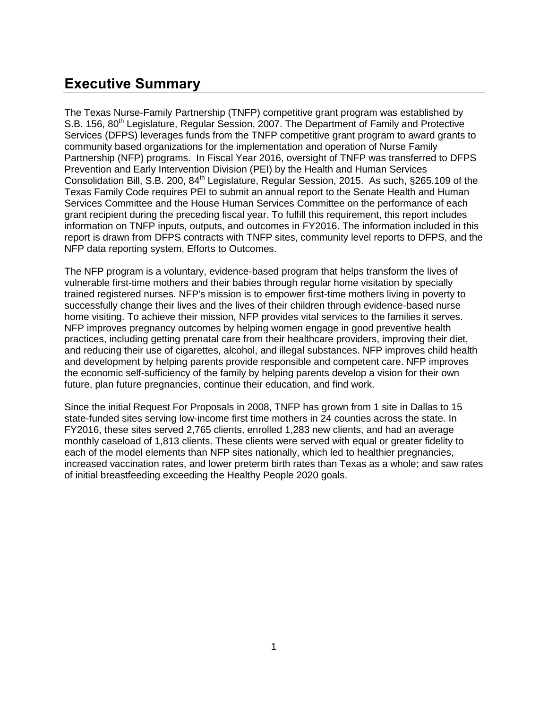## <span id="page-2-0"></span>**Executive Summary**

The Texas Nurse-Family Partnership (TNFP) competitive grant program was established by S.B. 156, 80<sup>th</sup> Legislature, Regular Session, 2007. The Department of Family and Protective Services (DFPS) leverages funds from the TNFP competitive grant program to award grants to community based organizations for the implementation and operation of Nurse Family Partnership (NFP) programs. In Fiscal Year 2016, oversight of TNFP was transferred to DFPS Prevention and Early Intervention Division (PEI) by the Health and Human Services Consolidation Bill, S.B. 200, 84<sup>th</sup> Legislature, Regular Session, 2015. As such, §265.109 of the Texas Family Code requires PEI to submit an annual report to the Senate Health and Human Services Committee and the House Human Services Committee on the performance of each grant recipient during the preceding fiscal year. To fulfill this requirement, this report includes information on TNFP inputs, outputs, and outcomes in FY2016. The information included in this report is drawn from DFPS contracts with TNFP sites, community level reports to DFPS, and the NFP data reporting system, Efforts to Outcomes.

The NFP program is a voluntary, evidence-based program that helps transform the lives of vulnerable first-time mothers and their babies through regular home visitation by specially trained registered nurses. NFP's mission is to empower first-time mothers living in poverty to successfully change their lives and the lives of their children through evidence-based nurse home visiting. To achieve their mission, NFP provides vital services to the families it serves. NFP improves pregnancy outcomes by helping women engage in good preventive health practices, including getting prenatal care from their healthcare providers, improving their diet, and reducing their use of cigarettes, alcohol, and illegal substances. NFP improves child health and development by helping parents provide responsible and competent care. NFP improves the economic self-sufficiency of the family by helping parents develop a vision for their own future, plan future pregnancies, continue their education, and find work.

Since the initial Request For Proposals in 2008, TNFP has grown from 1 site in Dallas to 15 state-funded sites serving low-income first time mothers in 24 counties across the state. In FY2016, these sites served 2,765 clients, enrolled 1,283 new clients, and had an average monthly caseload of 1,813 clients. These clients were served with equal or greater fidelity to each of the model elements than NFP sites nationally, which led to healthier pregnancies, increased vaccination rates, and lower preterm birth rates than Texas as a whole; and saw rates of initial breastfeeding exceeding the Healthy People 2020 goals.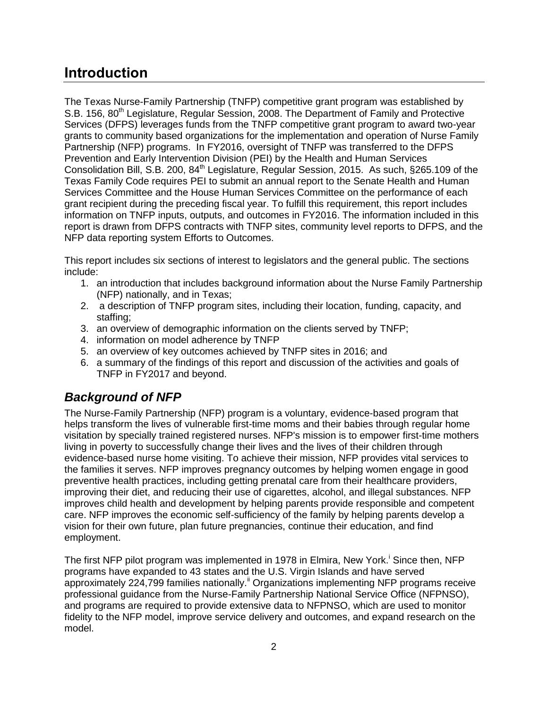## <span id="page-3-0"></span>**Introduction**

The Texas Nurse-Family Partnership (TNFP) competitive grant program was established by S.B. 156, 80<sup>th</sup> Legislature, Regular Session, 2008. The Department of Family and Protective Services (DFPS) leverages funds from the TNFP competitive grant program to award two-year grants to community based organizations for the implementation and operation of Nurse Family Partnership (NFP) programs. In FY2016, oversight of TNFP was transferred to the DFPS Prevention and Early Intervention Division (PEI) by the Health and Human Services Consolidation Bill, S.B. 200, 84<sup>th</sup> Legislature, Regular Session, 2015. As such, §265.109 of the Texas Family Code requires PEI to submit an annual report to the Senate Health and Human Services Committee and the House Human Services Committee on the performance of each grant recipient during the preceding fiscal year. To fulfill this requirement, this report includes information on TNFP inputs, outputs, and outcomes in FY2016. The information included in this report is drawn from DFPS contracts with TNFP sites, community level reports to DFPS, and the NFP data reporting system Efforts to Outcomes.

This report includes six sections of interest to legislators and the general public. The sections include:

- 1. an introduction that includes background information about the Nurse Family Partnership (NFP) nationally, and in Texas;
- 2. a description of TNFP program sites, including their location, funding, capacity, and staffing;
- 3. an overview of demographic information on the clients served by TNFP;
- 4. information on model adherence by TNFP
- 5. an overview of key outcomes achieved by TNFP sites in 2016; and
- 6. a summary of the findings of this report and discussion of the activities and goals of TNFP in FY2017 and beyond.

## <span id="page-3-1"></span>*Background of NFP*

The Nurse-Family Partnership (NFP) program is a voluntary, evidence-based program that helps transform the lives of vulnerable first-time moms and their babies through regular home visitation by specially trained registered nurses. NFP's mission is to empower first-time mothers living in poverty to successfully change their lives and the lives of their children through evidence-based nurse home visiting. To achieve their mission, NFP provides vital services to the families it serves. NFP improves pregnancy outcomes by helping women engage in good preventive health practices, including getting prenatal care from their healthcare providers, improving their diet, and reducing their use of cigarettes, alcohol, and illegal substances. NFP improves child health and development by helping parents provide responsible and competent care. NFP improves the economic self-sufficiency of the family by helping parents develop a vision for their own future, plan future pregnancies, continue their education, and find employment.

The first NFP pilot program was implemented in 1978 in Elmira, New York.<sup>i</sup> Since then, NFP programs have expanded to 43 states and the U.S. Virgin Islands and have served approximately 224,799 families nationally.<sup>ii</sup> Organizations implementing NFP programs receive professional guidance from the Nurse-Family Partnership National Service Office (NFPNSO), and programs are required to provide extensive data to NFPNSO, which are used to monitor fidelity to the NFP model, improve service delivery and outcomes, and expand research on the model.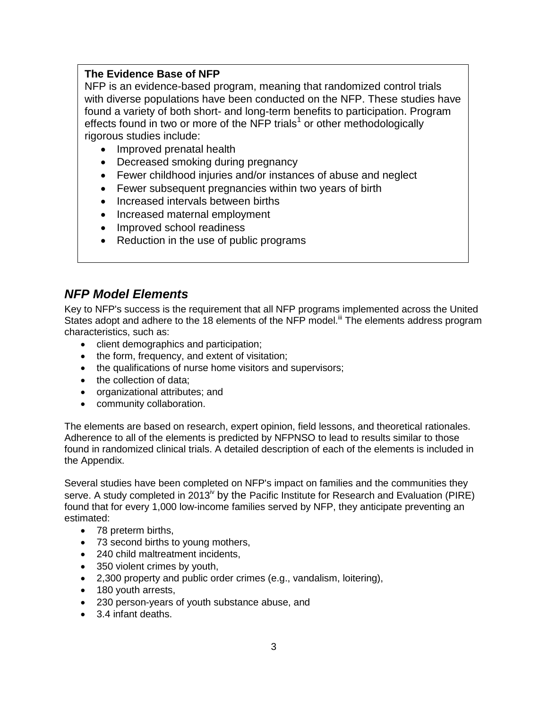#### **The Evidence Base of NFP**

NFP is an evidence-based program, meaning that randomized control trials with diverse populations have been conducted on the NFP. These studies have found a variety of both short- and long-term benefits to participation. Program effects found in two or more of the NFP trials<sup>1</sup> or other methodologically rigorous studies include:

- Improved prenatal health
- Decreased smoking during pregnancy
- Fewer childhood injuries and/or instances of abuse and neglect
- Fewer subsequent pregnancies within two years of birth
- Increased intervals between births
- Increased maternal employment
- Improved school readiness
- Reduction in the use of public programs

### <span id="page-4-0"></span>*NFP Model Elements*

Key to NFP's success is the requirement that all NFP programs implemented across the United States adopt and adhere to the 18 elements of the NFP model.<sup>iii</sup> The elements address program characteristics, such as:

- client demographics and participation;
- the form, frequency, and extent of visitation;
- the qualifications of nurse home visitors and supervisors;
- the collection of data:
- organizational attributes; and
- community collaboration.

The elements are based on research, expert opinion, field lessons, and theoretical rationales. Adherence to all of the elements is predicted by NFPNSO to lead to results similar to those found in randomized clinical trials. A detailed description of each of the elements is included in the Appendix.

Several studies have been completed on NFP's impact on families and the communities they serve. A study completed in 2013<sup> $\dot{v}$ </sup> by the Pacific Institute for Research and Evaluation (PIRE) found that for every 1,000 low-income families served by NFP, they anticipate preventing an estimated:

- 78 preterm births,
- 73 second births to young mothers,
- 240 child maltreatment incidents,
- 350 violent crimes by youth,
- 2,300 property and public order crimes (e.g., vandalism, loitering),
- 180 youth arrests,
- 230 person-years of youth substance abuse, and
- 3.4 infant deaths.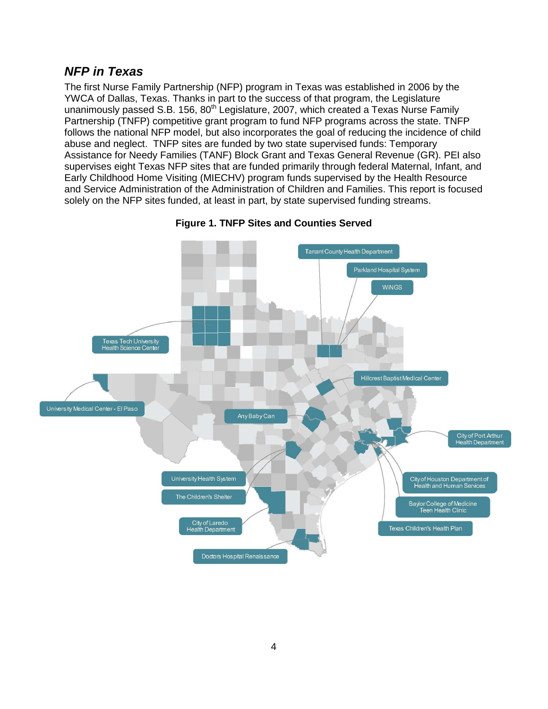### <span id="page-5-0"></span>*NFP in Texas*

The first Nurse Family Partnership (NFP) program in Texas was established in 2006 by the YWCA of Dallas, Texas. Thanks in part to the success of that program, the Legislature unanimously passed S.B. 156,  $80<sup>th</sup>$  Legislature, 2007, which created a Texas Nurse Family Partnership (TNFP) competitive grant program to fund NFP programs across the state. TNFP follows the national NFP model, but also incorporates the goal of reducing the incidence of child abuse and neglect. TNFP sites are funded by two state supervised funds: Temporary Assistance for Needy Families (TANF) Block Grant and Texas General Revenue (GR). PEI also supervises eight Texas NFP sites that are funded primarily through federal Maternal, Infant, and Early Childhood Home Visiting (MIECHV) program funds supervised by the Health Resource and Service Administration of the Administration of Children and Families. This report is focused solely on the NFP sites funded, at least in part, by state supervised funding streams.

<span id="page-5-1"></span>

**Figure 1. TNFP Sites and Counties Served**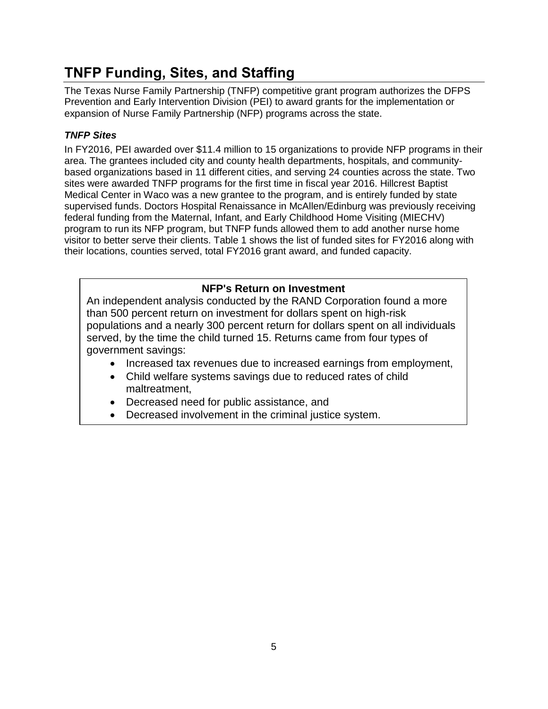## <span id="page-6-0"></span>**TNFP Funding, Sites, and Staffing**

The Texas Nurse Family Partnership (TNFP) competitive grant program authorizes the DFPS Prevention and Early Intervention Division (PEI) to award grants for the implementation or expansion of Nurse Family Partnership (NFP) programs across the state.

#### <span id="page-6-1"></span>*TNFP Sites*

In FY2016, PEI awarded over \$11.4 million to 15 organizations to provide NFP programs in their area. The grantees included city and county health departments, hospitals, and communitybased organizations based in 11 different cities, and serving 24 counties across the state. Two sites were awarded TNFP programs for the first time in fiscal year 2016. Hillcrest Baptist Medical Center in Waco was a new grantee to the program, and is entirely funded by state supervised funds. Doctors Hospital Renaissance in McAllen/Edinburg was previously receiving federal funding from the Maternal, Infant, and Early Childhood Home Visiting (MIECHV) program to run its NFP program, but TNFP funds allowed them to add another nurse home visitor to better serve their clients. Table 1 shows the list of funded sites for FY2016 along with their locations, counties served, total FY2016 grant award, and funded capacity.

#### **NFP's Return on Investment**

An independent analysis conducted by the RAND Corporation found a more than 500 percent return on investment for dollars spent on high-risk populations and a nearly 300 percent return for dollars spent on all individuals served, by the time the child turned 15. Returns came from four types of government savings:

- Increased tax revenues due to increased earnings from employment,
- Child welfare systems savings due to reduced rates of child maltreatment,
- Decreased need for public assistance, and
- Decreased involvement in the criminal justice system.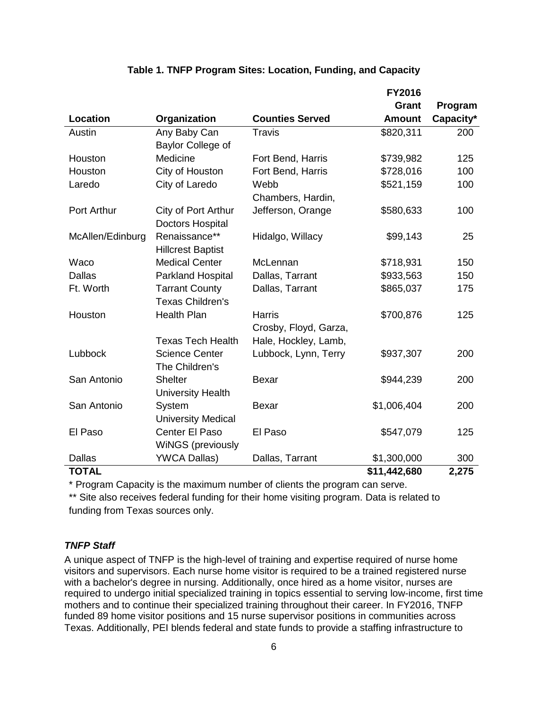<span id="page-7-1"></span>

|                  |                           |                        | <b>FY2016</b> |           |
|------------------|---------------------------|------------------------|---------------|-----------|
|                  |                           |                        | Grant         | Program   |
| Location         | Organization              | <b>Counties Served</b> | <b>Amount</b> | Capacity* |
| Austin           | Any Baby Can              | <b>Travis</b>          | \$820,311     | 200       |
|                  | Baylor College of         |                        |               |           |
| Houston          | Medicine                  | Fort Bend, Harris      | \$739,982     | 125       |
| Houston          | City of Houston           | Fort Bend, Harris      | \$728,016     | 100       |
| Laredo           | City of Laredo            | Webb                   | \$521,159     | 100       |
|                  |                           | Chambers, Hardin,      |               |           |
| Port Arthur      | City of Port Arthur       | Jefferson, Orange      | \$580,633     | 100       |
|                  | <b>Doctors Hospital</b>   |                        |               |           |
| McAllen/Edinburg | Renaissance**             | Hidalgo, Willacy       | \$99,143      | 25        |
|                  | <b>Hillcrest Baptist</b>  |                        |               |           |
| Waco             | <b>Medical Center</b>     | McLennan               | \$718,931     | 150       |
| <b>Dallas</b>    | Parkland Hospital         | Dallas, Tarrant        | \$933,563     | 150       |
| Ft. Worth        | <b>Tarrant County</b>     | Dallas, Tarrant        | \$865,037     | 175       |
|                  | <b>Texas Children's</b>   |                        |               |           |
| Houston          | <b>Health Plan</b>        | <b>Harris</b>          | \$700,876     | 125       |
|                  |                           | Crosby, Floyd, Garza,  |               |           |
|                  | <b>Texas Tech Health</b>  | Hale, Hockley, Lamb,   |               |           |
| Lubbock          | <b>Science Center</b>     | Lubbock, Lynn, Terry   | \$937,307     | 200       |
|                  | The Children's            |                        |               |           |
| San Antonio      | <b>Shelter</b>            | <b>Bexar</b>           | \$944,239     | 200       |
|                  | <b>University Health</b>  |                        |               |           |
| San Antonio      | System                    | <b>Bexar</b>           | \$1,006,404   | 200       |
|                  | <b>University Medical</b> |                        |               |           |
| El Paso          | Center El Paso            | El Paso                | \$547,079     | 125       |
|                  | <b>WINGS (previously</b>  |                        |               |           |
| <b>Dallas</b>    | <b>YWCA Dallas)</b>       | Dallas, Tarrant        | \$1,300,000   | 300       |
| <b>TOTAL</b>     |                           |                        | \$11,442,680  | 2,275     |

#### **Table 1. TNFP Program Sites: Location, Funding, and Capacity**

\* Program Capacity is the maximum number of clients the program can serve.

\*\* Site also receives federal funding for their home visiting program. Data is related to funding from Texas sources only.

#### <span id="page-7-0"></span>*TNFP Staff*

A unique aspect of TNFP is the high-level of training and expertise required of nurse home visitors and supervisors. Each nurse home visitor is required to be a trained registered nurse with a bachelor's degree in nursing. Additionally, once hired as a home visitor, nurses are required to undergo initial specialized training in topics essential to serving low-income, first time mothers and to continue their specialized training throughout their career. In FY2016, TNFP funded 89 home visitor positions and 15 nurse supervisor positions in communities across Texas. Additionally, PEI blends federal and state funds to provide a staffing infrastructure to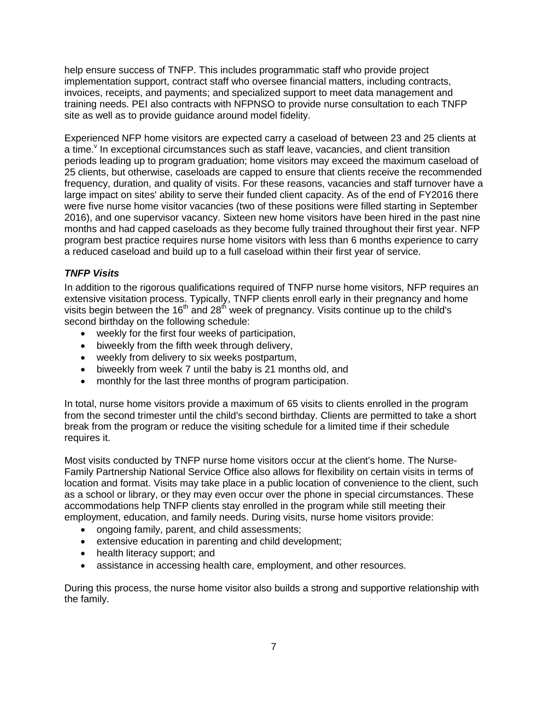help ensure success of TNFP. This includes programmatic staff who provide project implementation support, contract staff who oversee financial matters, including contracts, invoices, receipts, and payments; and specialized support to meet data management and training needs. PEI also contracts with NFPNSO to provide nurse consultation to each TNFP site as well as to provide guidance around model fidelity.

Experienced NFP home visitors are expected carry a caseload of between 23 and 25 clients at a time. In exceptional circumstances such as staff leave, vacancies, and client transition periods leading up to program graduation; home visitors may exceed the maximum caseload of 25 clients, but otherwise, caseloads are capped to ensure that clients receive the recommended frequency, duration, and quality of visits. For these reasons, vacancies and staff turnover have a large impact on sites' ability to serve their funded client capacity. As of the end of FY2016 there were five nurse home visitor vacancies (two of these positions were filled starting in September 2016), and one supervisor vacancy. Sixteen new home visitors have been hired in the past nine months and had capped caseloads as they become fully trained throughout their first year. NFP program best practice requires nurse home visitors with less than 6 months experience to carry a reduced caseload and build up to a full caseload within their first year of service.

#### <span id="page-8-0"></span>*TNFP Visits*

In addition to the rigorous qualifications required of TNFP nurse home visitors, NFP requires an extensive visitation process. Typically, TNFP clients enroll early in their pregnancy and home visits begin between the  $16<sup>th</sup>$  and  $28<sup>th</sup>$  week of pregnancy. Visits continue up to the child's second birthday on the following schedule:

- weekly for the first four weeks of participation,
- biweekly from the fifth week through delivery,
- weekly from delivery to six weeks postpartum,
- biweekly from week 7 until the baby is 21 months old, and
- monthly for the last three months of program participation.

In total, nurse home visitors provide a maximum of 65 visits to clients enrolled in the program from the second trimester until the child's second birthday. Clients are permitted to take a short break from the program or reduce the visiting schedule for a limited time if their schedule requires it.

Most visits conducted by TNFP nurse home visitors occur at the client's home. The Nurse-Family Partnership National Service Office also allows for flexibility on certain visits in terms of location and format. Visits may take place in a public location of convenience to the client, such as a school or library, or they may even occur over the phone in special circumstances. These accommodations help TNFP clients stay enrolled in the program while still meeting their employment, education, and family needs. During visits, nurse home visitors provide:

- ongoing family, parent, and child assessments;
- extensive education in parenting and child development;
- health literacy support; and
- assistance in accessing health care, employment, and other resources.

During this process, the nurse home visitor also builds a strong and supportive relationship with the family.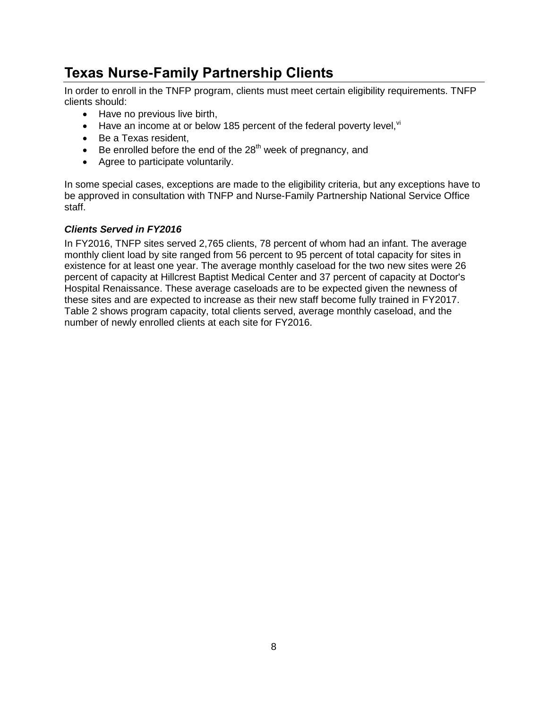## <span id="page-9-0"></span>**Texas Nurse-Family Partnership Clients**

In order to enroll in the TNFP program, clients must meet certain eligibility requirements. TNFP clients should:

- Have no previous live birth,
- $\bullet$  Have an income at or below 185 percent of the federal poverty level,  $\mathrm{N}$
- Be a Texas resident,
- $\bullet$  Be enrolled before the end of the 28<sup>th</sup> week of pregnancy, and
- Agree to participate voluntarily.

In some special cases, exceptions are made to the eligibility criteria, but any exceptions have to be approved in consultation with TNFP and Nurse-Family Partnership National Service Office staff.

#### <span id="page-9-1"></span>*Clients Served in FY2016*

In FY2016, TNFP sites served 2,765 clients, 78 percent of whom had an infant. The average monthly client load by site ranged from 56 percent to 95 percent of total capacity for sites in existence for at least one year. The average monthly caseload for the two new sites were 26 percent of capacity at Hillcrest Baptist Medical Center and 37 percent of capacity at Doctor's Hospital Renaissance. These average caseloads are to be expected given the newness of these sites and are expected to increase as their new staff become fully trained in FY2017. Table 2 shows program capacity, total clients served, average monthly caseload, and the number of newly enrolled clients at each site for FY2016.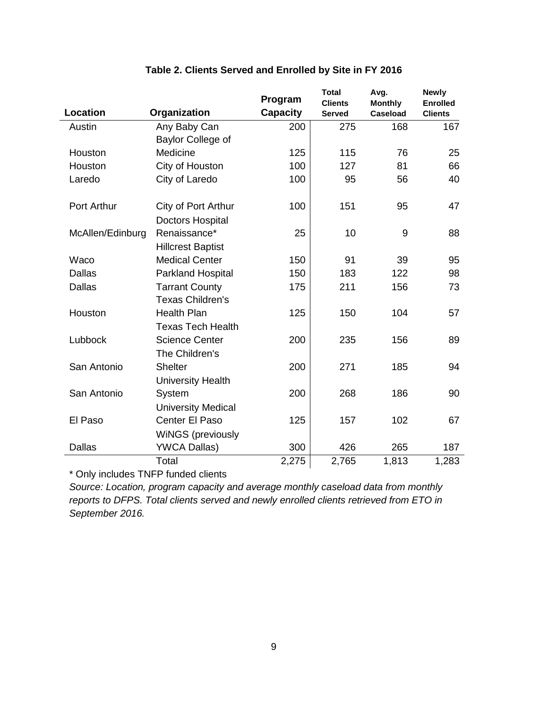<span id="page-10-0"></span>

|                  |                           | Program         | <b>Total</b>                    | Avg.                              | <b>Newly</b>                      |
|------------------|---------------------------|-----------------|---------------------------------|-----------------------------------|-----------------------------------|
| Location         | Organization              | <b>Capacity</b> | <b>Clients</b><br><b>Served</b> | <b>Monthly</b><br><b>Caseload</b> | <b>Enrolled</b><br><b>Clients</b> |
| Austin           | Any Baby Can              | 200             | 275                             | 168                               | 167                               |
|                  | Baylor College of         |                 |                                 |                                   |                                   |
| Houston          | Medicine                  | 125             | 115                             | 76                                | 25                                |
| Houston          | City of Houston           | 100             | 127                             | 81                                | 66                                |
| Laredo           | City of Laredo            | 100             | 95                              | 56                                | 40                                |
| Port Arthur      | City of Port Arthur       | 100             | 151                             | 95                                | 47                                |
|                  | <b>Doctors Hospital</b>   |                 |                                 |                                   |                                   |
| McAllen/Edinburg | Renaissance*              | 25              | 10                              | 9                                 | 88                                |
|                  | <b>Hillcrest Baptist</b>  |                 |                                 |                                   |                                   |
| Waco             | <b>Medical Center</b>     | 150             | 91                              | 39                                | 95                                |
| <b>Dallas</b>    | Parkland Hospital         | 150             | 183                             | 122                               | 98                                |
| <b>Dallas</b>    | <b>Tarrant County</b>     | 175             | 211                             | 156                               | 73                                |
|                  | <b>Texas Children's</b>   |                 |                                 |                                   |                                   |
| Houston          | <b>Health Plan</b>        | 125             | 150                             | 104                               | 57                                |
|                  | <b>Texas Tech Health</b>  |                 |                                 |                                   |                                   |
| Lubbock          | <b>Science Center</b>     | 200             | 235                             | 156                               | 89                                |
|                  | The Children's            |                 |                                 |                                   |                                   |
| San Antonio      | <b>Shelter</b>            | 200             | 271                             | 185                               | 94                                |
|                  | <b>University Health</b>  |                 |                                 |                                   |                                   |
| San Antonio      | System                    | 200             | 268                             | 186                               | 90                                |
|                  | <b>University Medical</b> |                 |                                 |                                   |                                   |
| El Paso          | Center El Paso            | 125             | 157                             | 102                               | 67                                |
|                  | <b>WiNGS</b> (previously  |                 |                                 |                                   |                                   |
| <b>Dallas</b>    | <b>YWCA Dallas)</b>       | 300             | 426                             | 265                               | 187                               |
|                  | Total                     | 2,275           | 2,765                           | 1,813                             | 1,283                             |

#### **Table 2. Clients Served and Enrolled by Site in FY 2016**

\* Only includes TNFP funded clients

*Source: Location, program capacity and average monthly caseload data from monthly reports to DFPS. Total clients served and newly enrolled clients retrieved from ETO in September 2016.*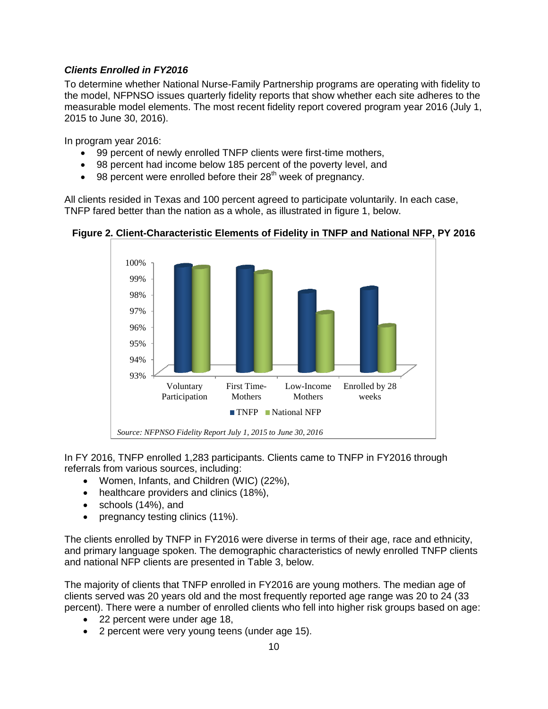#### <span id="page-11-0"></span>*Clients Enrolled in FY2016*

To determine whether National Nurse-Family Partnership programs are operating with fidelity to the model, NFPNSO issues quarterly fidelity reports that show whether each site adheres to the measurable model elements. The most recent fidelity report covered program year 2016 (July 1, 2015 to June 30, 2016).

In program year 2016:

- 99 percent of newly enrolled TNFP clients were first-time mothers,
- 98 percent had income below 185 percent of the poverty level, and
- $\bullet$  98 percent were enrolled before their 28<sup>th</sup> week of pregnancy.

All clients resided in Texas and 100 percent agreed to participate voluntarily. In each case, TNFP fared better than the nation as a whole, as illustrated in figure 1, below.



<span id="page-11-1"></span>**Figure 2. Client-Characteristic Elements of Fidelity in TNFP and National NFP, PY 2016**

In FY 2016, TNFP enrolled 1,283 participants. Clients came to TNFP in FY2016 through referrals from various sources, including:

- Women, Infants, and Children (WIC) (22%),
- healthcare providers and clinics (18%),
- schools (14%), and
- pregnancy testing clinics (11%).

The clients enrolled by TNFP in FY2016 were diverse in terms of their age, race and ethnicity, and primary language spoken. The demographic characteristics of newly enrolled TNFP clients and national NFP clients are presented in Table 3, below.

The majority of clients that TNFP enrolled in FY2016 are young mothers. The median age of clients served was 20 years old and the most frequently reported age range was 20 to 24 (33 percent). There were a number of enrolled clients who fell into higher risk groups based on age:

- 22 percent were under age 18,
- 2 percent were very young teens (under age 15).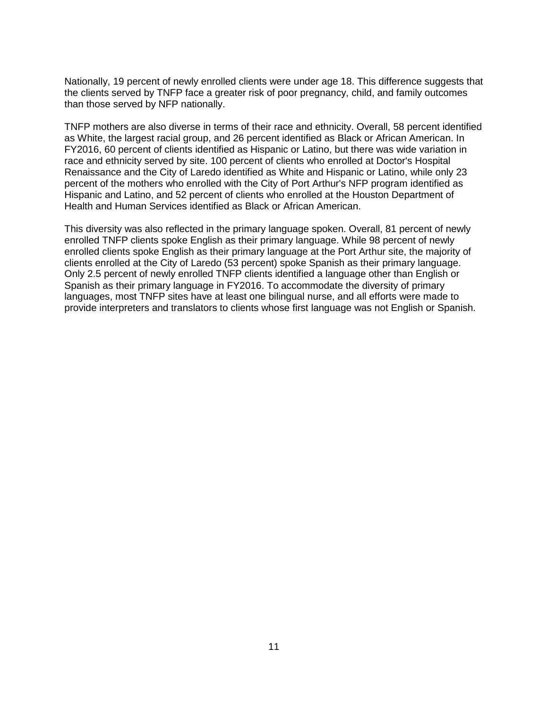Nationally, 19 percent of newly enrolled clients were under age 18. This difference suggests that the clients served by TNFP face a greater risk of poor pregnancy, child, and family outcomes than those served by NFP nationally.

TNFP mothers are also diverse in terms of their race and ethnicity. Overall, 58 percent identified as White, the largest racial group, and 26 percent identified as Black or African American. In FY2016, 60 percent of clients identified as Hispanic or Latino, but there was wide variation in race and ethnicity served by site. 100 percent of clients who enrolled at Doctor's Hospital Renaissance and the City of Laredo identified as White and Hispanic or Latino, while only 23 percent of the mothers who enrolled with the City of Port Arthur's NFP program identified as Hispanic and Latino, and 52 percent of clients who enrolled at the Houston Department of Health and Human Services identified as Black or African American.

<span id="page-12-0"></span>This diversity was also reflected in the primary language spoken. Overall, 81 percent of newly enrolled TNFP clients spoke English as their primary language. While 98 percent of newly enrolled clients spoke English as their primary language at the Port Arthur site, the majority of clients enrolled at the City of Laredo (53 percent) spoke Spanish as their primary language. Only 2.5 percent of newly enrolled TNFP clients identified a language other than English or Spanish as their primary language in FY2016. To accommodate the diversity of primary languages, most TNFP sites have at least one bilingual nurse, and all efforts were made to provide interpreters and translators to clients whose first language was not English or Spanish.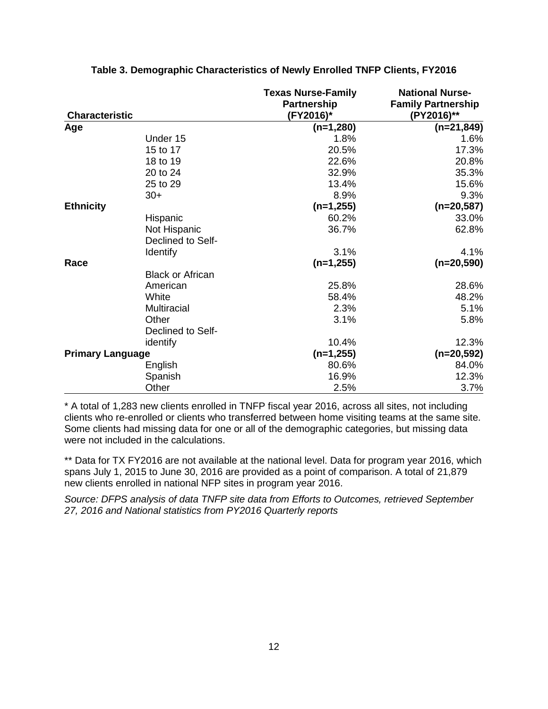| <b>Characteristic</b>   |                         | <b>Texas Nurse-Family</b><br>Partnership<br>(FY2016)* | <b>National Nurse-</b><br><b>Family Partnership</b><br>(PY2016)** |
|-------------------------|-------------------------|-------------------------------------------------------|-------------------------------------------------------------------|
| Age                     |                         | $(n=1,280)$                                           | $(n=21,849)$                                                      |
|                         | Under 15                | 1.8%                                                  | 1.6%                                                              |
|                         | 15 to 17                | 20.5%                                                 | 17.3%                                                             |
|                         | 18 to 19                | 22.6%                                                 | 20.8%                                                             |
|                         | 20 to 24                | 32.9%                                                 | 35.3%                                                             |
|                         | 25 to 29                | 13.4%                                                 | 15.6%                                                             |
|                         | $30+$                   | 8.9%                                                  | 9.3%                                                              |
| <b>Ethnicity</b>        |                         | $(n=1,255)$                                           | $(n=20,587)$                                                      |
|                         | Hispanic                | 60.2%                                                 | 33.0%                                                             |
|                         | Not Hispanic            | 36.7%                                                 | 62.8%                                                             |
|                         | Declined to Self-       |                                                       |                                                                   |
|                         | <b>Identify</b>         | 3.1%                                                  | 4.1%                                                              |
| Race                    |                         | $(n=1,255)$                                           | $(n=20,590)$                                                      |
|                         | <b>Black or African</b> |                                                       |                                                                   |
|                         | American                | 25.8%                                                 | 28.6%                                                             |
|                         | White                   | 58.4%                                                 | 48.2%                                                             |
|                         | <b>Multiracial</b>      | 2.3%                                                  | 5.1%                                                              |
|                         | Other                   | 3.1%                                                  | 5.8%                                                              |
|                         | Declined to Self-       |                                                       |                                                                   |
|                         | identify                | 10.4%                                                 | 12.3%                                                             |
| <b>Primary Language</b> |                         | $(n=1,255)$                                           | $(n=20,592)$                                                      |
|                         | English                 | 80.6%                                                 | 84.0%                                                             |
|                         | Spanish                 | 16.9%                                                 | 12.3%                                                             |
|                         | Other                   | 2.5%                                                  | 3.7%                                                              |

#### **Table 3. Demographic Characteristics of Newly Enrolled TNFP Clients, FY2016**

\* A total of 1,283 new clients enrolled in TNFP fiscal year 2016, across all sites, not including clients who re-enrolled or clients who transferred between home visiting teams at the same site. Some clients had missing data for one or all of the demographic categories, but missing data were not included in the calculations.

\*\* Data for TX FY2016 are not available at the national level. Data for program year 2016, which spans July 1, 2015 to June 30, 2016 are provided as a point of comparison. A total of 21,879 new clients enrolled in national NFP sites in program year 2016.

*Source: DFPS analysis of data TNFP site data from Efforts to Outcomes, retrieved September 27, 2016 and National statistics from PY2016 Quarterly reports*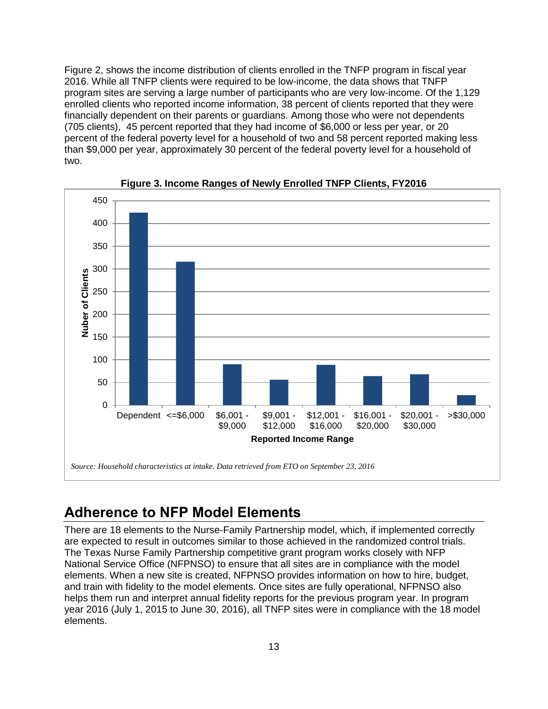Figure 2, shows the income distribution of clients enrolled in the TNFP program in fiscal year 2016. While all TNFP clients were required to be low-income, the data shows that TNFP program sites are serving a large number of participants who are very low-income. Of the 1,129 enrolled clients who reported income information, 38 percent of clients reported that they were financially dependent on their parents or guardians. Among those who were not dependents (705 clients), 45 percent reported that they had income of \$6,000 or less per year, or 20 percent of the federal poverty level for a household of two and 58 percent reported making less than \$9,000 per year, approximately 30 percent of the federal poverty level for a household of two.

<span id="page-14-1"></span>



## <span id="page-14-0"></span>**Adherence to NFP Model Elements**

There are 18 elements to the Nurse-Family Partnership model, which, if implemented correctly are expected to result in outcomes similar to those achieved in the randomized control trials. The Texas Nurse Family Partnership competitive grant program works closely with NFP National Service Office (NFPNSO) to ensure that all sites are in compliance with the model elements. When a new site is created, NFPNSO provides information on how to hire, budget, and train with fidelity to the model elements. Once sites are fully operational, NFPNSO also helps them run and interpret annual fidelity reports for the previous program year. In program year 2016 (July 1, 2015 to June 30, 2016), all TNFP sites were in compliance with the 18 model elements.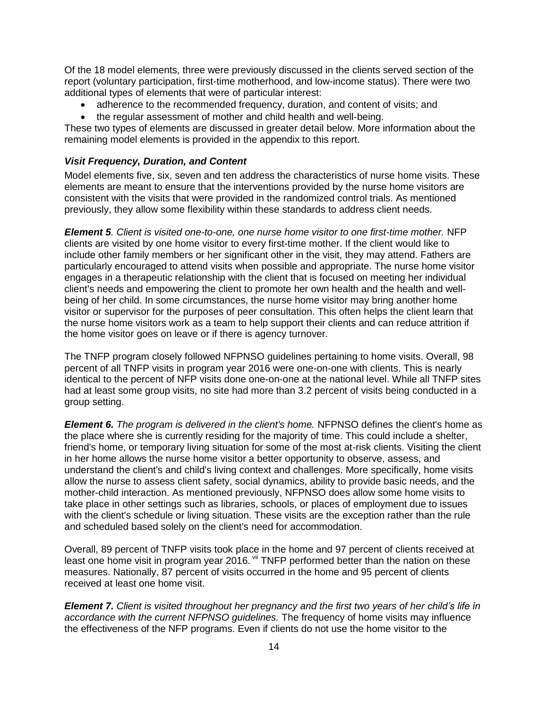Of the 18 model elements, three were previously discussed in the clients served section of the report (voluntary participation, first-time motherhood, and low-income status). There were two additional types of elements that were of particular interest:

- adherence to the recommended frequency, duration, and content of visits; and
- the regular assessment of mother and child health and well-being.

These two types of elements are discussed in greater detail below. More information about the remaining model elements is provided in the appendix to this report.

#### <span id="page-15-0"></span>*Visit Frequency, Duration, and Content*

Model elements five, six, seven and ten address the characteristics of nurse home visits. These elements are meant to ensure that the interventions provided by the nurse home visitors are consistent with the visits that were provided in the randomized control trials. As mentioned previously, they allow some flexibility within these standards to address client needs.

*Element 5. Client is visited one-to-one, one nurse home visitor to one first-time mother.* NFP clients are visited by one home visitor to every first-time mother. If the client would like to include other family members or her significant other in the visit, they may attend. Fathers are particularly encouraged to attend visits when possible and appropriate. The nurse home visitor engages in a therapeutic relationship with the client that is focused on meeting her individual client's needs and empowering the client to promote her own health and the health and wellbeing of her child. In some circumstances, the nurse home visitor may bring another home visitor or supervisor for the purposes of peer consultation. This often helps the client learn that the nurse home visitors work as a team to help support their clients and can reduce attrition if the home visitor goes on leave or if there is agency turnover.

The TNFP program closely followed NFPNSO guidelines pertaining to home visits. Overall, 98 percent of all TNFP visits in program year 2016 were one-on-one with clients. This is nearly identical to the percent of NFP visits done one-on-one at the national level. While all TNFP sites had at least some group visits, no site had more than 3.2 percent of visits being conducted in a group setting.

*Element 6. The program is delivered in the client's home.* **NFPNSO defines the client's home as** the place where she is currently residing for the majority of time. This could include a shelter, friend's home, or temporary living situation for some of the most at-risk clients. Visiting the client in her home allows the nurse home visitor a better opportunity to observe, assess, and understand the client's and child's living context and challenges. More specifically, home visits allow the nurse to assess client safety, social dynamics, ability to provide basic needs, and the mother-child interaction. As mentioned previously, NFPNSO does allow some home visits to take place in other settings such as libraries, schools, or places of employment due to issues with the client's schedule or living situation. These visits are the exception rather than the rule and scheduled based solely on the client's need for accommodation.

Overall, 89 percent of TNFP visits took place in the home and 97 percent of clients received at least one home visit in program year 2016. Vii TNFP performed better than the nation on these measures. Nationally, 87 percent of visits occurred in the home and 95 percent of clients received at least one home visit.

*Element 7. Client is visited throughout her pregnancy and the first two years of her child's life in accordance with the current NFPNSO guidelines.* The frequency of home visits may influence the effectiveness of the NFP programs. Even if clients do not use the home visitor to the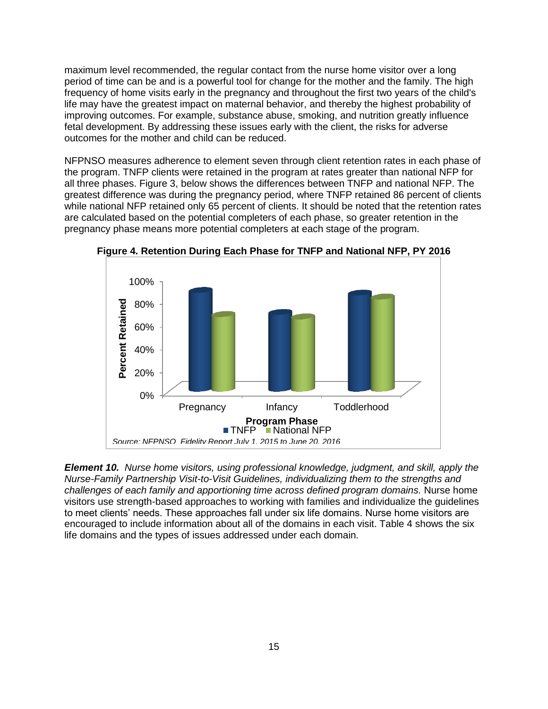maximum level recommended, the regular contact from the nurse home visitor over a long period of time can be and is a powerful tool for change for the mother and the family. The high frequency of home visits early in the pregnancy and throughout the first two years of the child's life may have the greatest impact on maternal behavior, and thereby the highest probability of improving outcomes. For example, substance abuse, smoking, and nutrition greatly influence fetal development. By addressing these issues early with the client, the risks for adverse outcomes for the mother and child can be reduced.

NFPNSO measures adherence to element seven through client retention rates in each phase of the program. TNFP clients were retained in the program at rates greater than national NFP for all three phases. Figure 3, below shows the differences between TNFP and national NFP. The greatest difference was during the pregnancy period, where TNFP retained 86 percent of clients while national NFP retained only 65 percent of clients. It should be noted that the retention rates are calculated based on the potential completers of each phase, so greater retention in the pregnancy phase means more potential completers at each stage of the program.



<span id="page-16-1"></span>**Figure 4. Retention During Each Phase for TNFP and National NFP, PY 2016**

<span id="page-16-0"></span>*Element 10. Nurse home visitors, using professional knowledge, judgment, and skill, apply the Nurse-Family Partnership Visit-to-Visit Guidelines, individualizing them to the strengths and challenges of each family and apportioning time across defined program domains.* Nurse home visitors use strength-based approaches to working with families and individualize the guidelines to meet clients' needs. These approaches fall under six life domains. Nurse home visitors are encouraged to include information about all of the domains in each visit. Table 4 shows the six life domains and the types of issues addressed under each domain.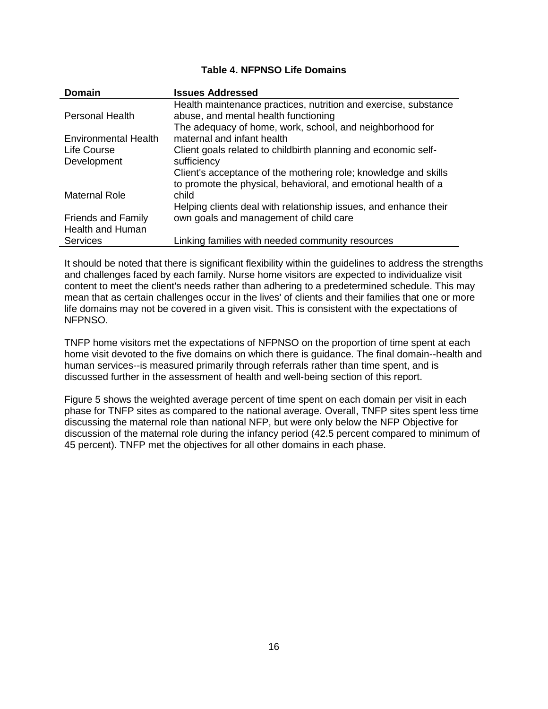#### **Table 4. NFPNSO Life Domains**

| <b>Domain</b>               | <b>Issues Addressed</b>                                          |
|-----------------------------|------------------------------------------------------------------|
|                             | Health maintenance practices, nutrition and exercise, substance  |
| <b>Personal Health</b>      | abuse, and mental health functioning                             |
|                             | The adequacy of home, work, school, and neighborhood for         |
| <b>Environmental Health</b> | maternal and infant health                                       |
| Life Course                 | Client goals related to childbirth planning and economic self-   |
| Development                 | sufficiency                                                      |
|                             | Client's acceptance of the mothering role; knowledge and skills  |
|                             | to promote the physical, behavioral, and emotional health of a   |
| <b>Maternal Role</b>        | child                                                            |
|                             | Helping clients deal with relationship issues, and enhance their |
| <b>Friends and Family</b>   | own goals and management of child care                           |
| <b>Health and Human</b>     |                                                                  |
| <b>Services</b>             | Linking families with needed community resources                 |

It should be noted that there is significant flexibility within the guidelines to address the strengths and challenges faced by each family. Nurse home visitors are expected to individualize visit content to meet the client's needs rather than adhering to a predetermined schedule. This may mean that as certain challenges occur in the lives' of clients and their families that one or more life domains may not be covered in a given visit. This is consistent with the expectations of NFPNSO.

TNFP home visitors met the expectations of NFPNSO on the proportion of time spent at each home visit devoted to the five domains on which there is guidance. The final domain--health and human services--is measured primarily through referrals rather than time spent, and is discussed further in the assessment of health and well-being section of this report.

<span id="page-17-0"></span>Figure 5 shows the weighted average percent of time spent on each domain per visit in each phase for TNFP sites as compared to the national average. Overall, TNFP sites spent less time discussing the maternal role than national NFP, but were only below the NFP Objective for discussion of the maternal role during the infancy period (42.5 percent compared to minimum of 45 percent). TNFP met the objectives for all other domains in each phase.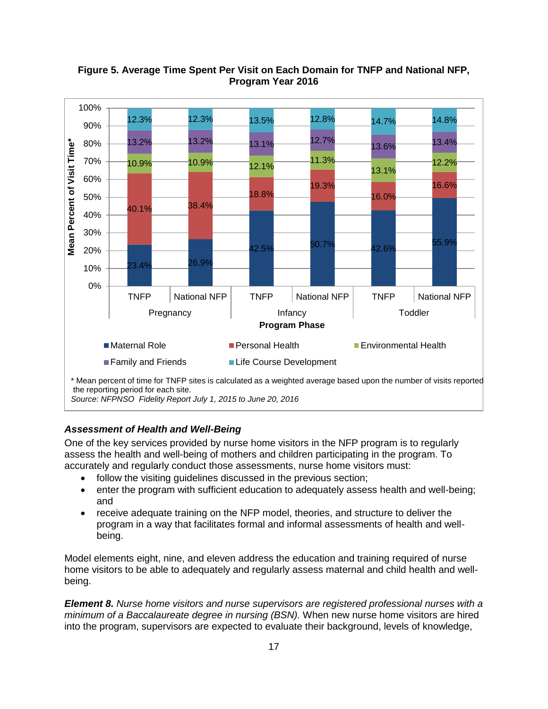

#### **Figure 5. Average Time Spent Per Visit on Each Domain for TNFP and National NFP, Program Year 2016**

#### <span id="page-18-0"></span>*Assessment of Health and Well-Being*

One of the key services provided by nurse home visitors in the NFP program is to regularly assess the health and well-being of mothers and children participating in the program. To accurately and regularly conduct those assessments, nurse home visitors must:

- follow the visiting guidelines discussed in the previous section;
- enter the program with sufficient education to adequately assess health and well-being; and
- receive adequate training on the NFP model, theories, and structure to deliver the program in a way that facilitates formal and informal assessments of health and wellbeing.

Model elements eight, nine, and eleven address the education and training required of nurse home visitors to be able to adequately and regularly assess maternal and child health and wellbeing.

*Element 8. Nurse home visitors and nurse supervisors are registered professional nurses with a minimum of a Baccalaureate degree in nursing (BSN).* When new nurse home visitors are hired into the program, supervisors are expected to evaluate their background, levels of knowledge,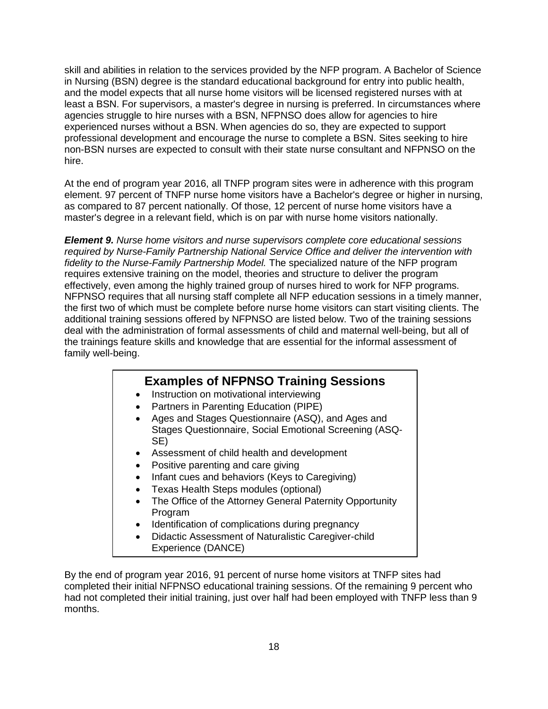skill and abilities in relation to the services provided by the NFP program. A Bachelor of Science in Nursing (BSN) degree is the standard educational background for entry into public health, and the model expects that all nurse home visitors will be licensed registered nurses with at least a BSN. For supervisors, a master's degree in nursing is preferred. In circumstances where agencies struggle to hire nurses with a BSN, NFPNSO does allow for agencies to hire experienced nurses without a BSN. When agencies do so, they are expected to support professional development and encourage the nurse to complete a BSN. Sites seeking to hire non-BSN nurses are expected to consult with their state nurse consultant and NFPNSO on the hire.

At the end of program year 2016, all TNFP program sites were in adherence with this program element. 97 percent of TNFP nurse home visitors have a Bachelor's degree or higher in nursing, as compared to 87 percent nationally. Of those, 12 percent of nurse home visitors have a master's degree in a relevant field, which is on par with nurse home visitors nationally.

*Element 9. Nurse home visitors and nurse supervisors complete core educational sessions required by Nurse-Family Partnership National Service Office and deliver the intervention with fidelity to the Nurse-Family Partnership Model.* The specialized nature of the NFP program requires extensive training on the model, theories and structure to deliver the program effectively, even among the highly trained group of nurses hired to work for NFP programs. NFPNSO requires that all nursing staff complete all NFP education sessions in a timely manner, the first two of which must be complete before nurse home visitors can start visiting clients. The additional training sessions offered by NFPNSO are listed below. Two of the training sessions deal with the administration of formal assessments of child and maternal well-being, but all of the trainings feature skills and knowledge that are essential for the informal assessment of family well-being.

#### **Examples of NFPNSO Training Sessions**

- Instruction on motivational interviewing
- Partners in Parenting Education (PIPE)
- Ages and Stages Questionnaire (ASQ), and Ages and Stages Questionnaire, Social Emotional Screening (ASQ-SE)
- Assessment of child health and development
- Positive parenting and care giving
- Infant cues and behaviors (Keys to Caregiving)
- Texas Health Steps modules (optional)
- The Office of the Attorney General Paternity Opportunity Program
- Identification of complications during pregnancy
- Didactic Assessment of Naturalistic Caregiver-child Experience (DANCE)

By the end of program year 2016, 91 percent of nurse home visitors at TNFP sites had completed their initial NFPNSO educational training sessions. Of the remaining 9 percent who had not completed their initial training, just over half had been employed with TNFP less than 9 months.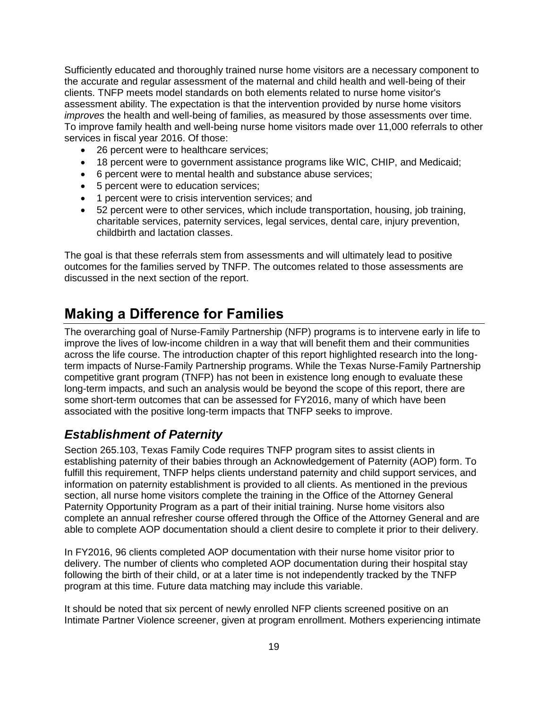Sufficiently educated and thoroughly trained nurse home visitors are a necessary component to the accurate and regular assessment of the maternal and child health and well-being of their clients. TNFP meets model standards on both elements related to nurse home visitor's assessment ability. The expectation is that the intervention provided by nurse home visitors *improves* the health and well-being of families, as measured by those assessments over time. To improve family health and well-being nurse home visitors made over 11,000 referrals to other services in fiscal year 2016. Of those:

- 26 percent were to healthcare services;
- 18 percent were to government assistance programs like WIC, CHIP, and Medicaid;
- 6 percent were to mental health and substance abuse services:
- 5 percent were to education services;
- 1 percent were to crisis intervention services; and
- 52 percent were to other services, which include transportation, housing, job training, charitable services, paternity services, legal services, dental care, injury prevention, childbirth and lactation classes.

The goal is that these referrals stem from assessments and will ultimately lead to positive outcomes for the families served by TNFP. The outcomes related to those assessments are discussed in the next section of the report.

### <span id="page-20-0"></span>**Making a Difference for Families**

The overarching goal of Nurse-Family Partnership (NFP) programs is to intervene early in life to improve the lives of low-income children in a way that will benefit them and their communities across the life course. The introduction chapter of this report highlighted research into the longterm impacts of Nurse-Family Partnership programs. While the Texas Nurse-Family Partnership competitive grant program (TNFP) has not been in existence long enough to evaluate these long-term impacts, and such an analysis would be beyond the scope of this report, there are some short-term outcomes that can be assessed for FY2016, many of which have been associated with the positive long-term impacts that TNFP seeks to improve.

#### <span id="page-20-1"></span>*Establishment of Paternity*

Section 265.103, Texas Family Code requires TNFP program sites to assist clients in establishing paternity of their babies through an Acknowledgement of Paternity (AOP) form. To fulfill this requirement, TNFP helps clients understand paternity and child support services, and information on paternity establishment is provided to all clients. As mentioned in the previous section, all nurse home visitors complete the training in the Office of the Attorney General Paternity Opportunity Program as a part of their initial training. Nurse home visitors also complete an annual refresher course offered through the Office of the Attorney General and are able to complete AOP documentation should a client desire to complete it prior to their delivery.

In FY2016, 96 clients completed AOP documentation with their nurse home visitor prior to delivery. The number of clients who completed AOP documentation during their hospital stay following the birth of their child, or at a later time is not independently tracked by the TNFP program at this time. Future data matching may include this variable.

It should be noted that six percent of newly enrolled NFP clients screened positive on an Intimate Partner Violence screener, given at program enrollment. Mothers experiencing intimate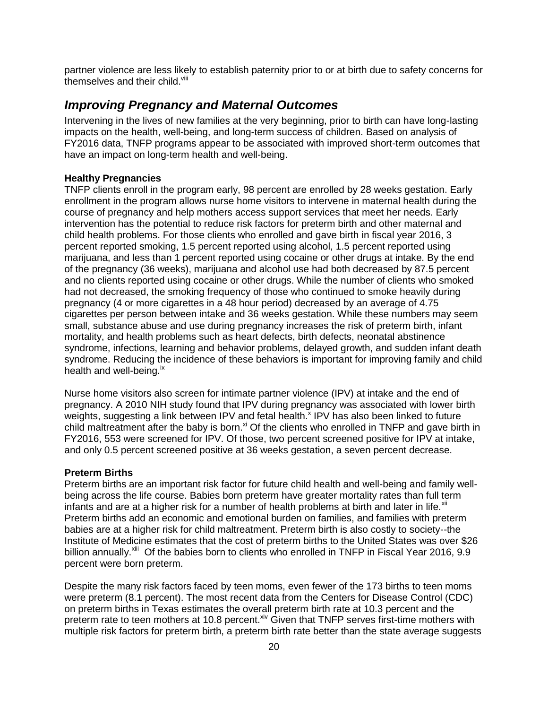partner violence are less likely to establish paternity prior to or at birth due to safety concerns for themselves and their child.<sup>viii</sup>

#### <span id="page-21-0"></span>*Improving Pregnancy and Maternal Outcomes*

Intervening in the lives of new families at the very beginning, prior to birth can have long-lasting impacts on the health, well-being, and long-term success of children. Based on analysis of FY2016 data, TNFP programs appear to be associated with improved short-term outcomes that have an impact on long-term health and well-being.

#### **Healthy Pregnancies**

TNFP clients enroll in the program early, 98 percent are enrolled by 28 weeks gestation. Early enrollment in the program allows nurse home visitors to intervene in maternal health during the course of pregnancy and help mothers access support services that meet her needs. Early intervention has the potential to reduce risk factors for preterm birth and other maternal and child health problems. For those clients who enrolled and gave birth in fiscal year 2016, 3 percent reported smoking, 1.5 percent reported using alcohol, 1.5 percent reported using marijuana, and less than 1 percent reported using cocaine or other drugs at intake. By the end of the pregnancy (36 weeks), marijuana and alcohol use had both decreased by 87.5 percent and no clients reported using cocaine or other drugs. While the number of clients who smoked had not decreased, the smoking frequency of those who continued to smoke heavily during pregnancy (4 or more cigarettes in a 48 hour period) decreased by an average of 4.75 cigarettes per person between intake and 36 weeks gestation. While these numbers may seem small, substance abuse and use during pregnancy increases the risk of preterm birth, infant mortality, and health problems such as heart defects, birth defects, neonatal abstinence syndrome, infections, learning and behavior problems, delayed growth, and sudden infant death syndrome. Reducing the incidence of these behaviors is important for improving family and child health and well-being.<sup>ix</sup>

Nurse home visitors also screen for intimate partner violence (IPV) at intake and the end of pregnancy. A 2010 NIH study found that IPV during pregnancy was associated with lower birth weights, suggesting a link between IPV and fetal health. $^{\text{x}}$  IPV has also been linked to future child maltreatment after the baby is born. $x<sup>i</sup>$  Of the clients who enrolled in TNFP and gave birth in FY2016, 553 were screened for IPV. Of those, two percent screened positive for IPV at intake, and only 0.5 percent screened positive at 36 weeks gestation, a seven percent decrease.

#### **Preterm Births**

Preterm births are an important risk factor for future child health and well-being and family wellbeing across the life course. Babies born preterm have greater mortality rates than full term infants and are at a higher risk for a number of health problems at birth and later in life. $x_{\text{in}}$ Preterm births add an economic and emotional burden on families, and families with preterm babies are at a higher risk for child maltreatment. Preterm birth is also costly to society--the Institute of Medicine estimates that the cost of preterm births to the United States was over \$26 billion annually.<sup>xiii</sup> Of the babies born to clients who enrolled in TNFP in Fiscal Year 2016, 9.9 percent were born preterm.

Despite the many risk factors faced by teen moms, even fewer of the 173 births to teen moms were preterm (8.1 percent). The most recent data from the Centers for Disease Control (CDC) on preterm births in Texas estimates the overall preterm birth rate at 10.3 percent and the preterm rate to teen mothers at 10.8 percent. Xiv Given that TNFP serves first-time mothers with multiple risk factors for preterm birth, a preterm birth rate better than the state average suggests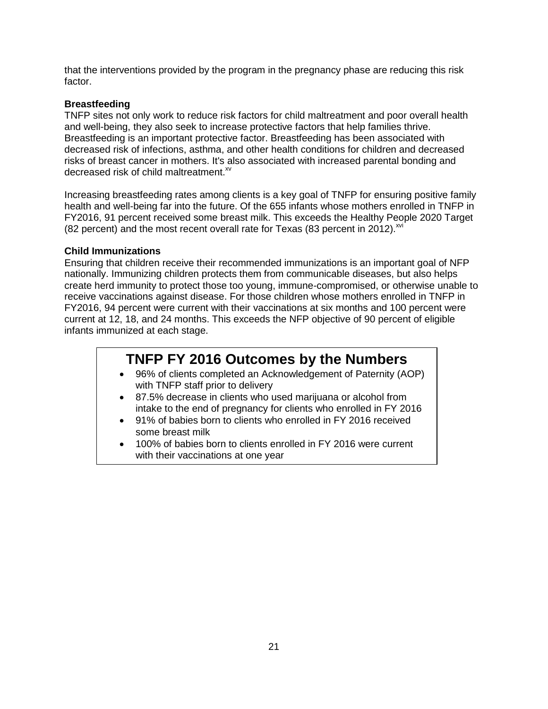that the interventions provided by the program in the pregnancy phase are reducing this risk factor.

#### **Breastfeeding**

TNFP sites not only work to reduce risk factors for child maltreatment and poor overall health and well-being, they also seek to increase protective factors that help families thrive. Breastfeeding is an important protective factor. Breastfeeding has been associated with decreased risk of infections, asthma, and other health conditions for children and decreased risks of breast cancer in mothers. It's also associated with increased parental bonding and decreased risk of child maltreatment.<sup>xv</sup>

Increasing breastfeeding rates among clients is a key goal of TNFP for ensuring positive family health and well-being far into the future. Of the 655 infants whose mothers enrolled in TNFP in FY2016, 91 percent received some breast milk. This exceeds the Healthy People 2020 Target (82 percent) and the most recent overall rate for Texas (83 percent in 2012). $^{xvi}$ 

#### **Child Immunizations**

Ensuring that children receive their recommended immunizations is an important goal of NFP nationally. Immunizing children protects them from communicable diseases, but also helps create herd immunity to protect those too young, immune-compromised, or otherwise unable to receive vaccinations against disease. For those children whose mothers enrolled in TNFP in FY2016, 94 percent were current with their vaccinations at six months and 100 percent were current at 12, 18, and 24 months. This exceeds the NFP objective of 90 percent of eligible infants immunized at each stage.

## **TNFP FY 2016 Outcomes by the Numbers**

- 96% of clients completed an Acknowledgement of Paternity (AOP) with TNFP staff prior to delivery
- 87.5% decrease in clients who used marijuana or alcohol from intake to the end of pregnancy for clients who enrolled in FY 2016
- 91% of babies born to clients who enrolled in FY 2016 received some breast milk
- 100% of babies born to clients enrolled in FY 2016 were current with their vaccinations at one year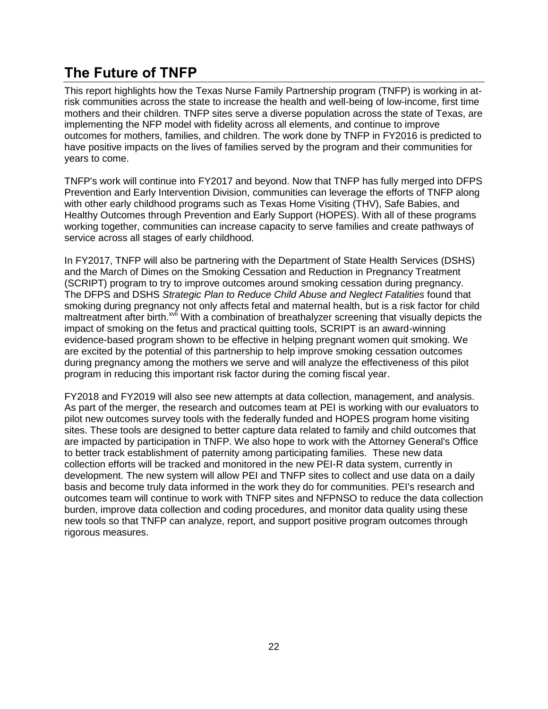## <span id="page-23-0"></span>**The Future of TNFP**

This report highlights how the Texas Nurse Family Partnership program (TNFP) is working in atrisk communities across the state to increase the health and well-being of low-income, first time mothers and their children. TNFP sites serve a diverse population across the state of Texas, are implementing the NFP model with fidelity across all elements, and continue to improve outcomes for mothers, families, and children. The work done by TNFP in FY2016 is predicted to have positive impacts on the lives of families served by the program and their communities for years to come.

TNFP's work will continue into FY2017 and beyond. Now that TNFP has fully merged into DFPS Prevention and Early Intervention Division, communities can leverage the efforts of TNFP along with other early childhood programs such as Texas Home Visiting (THV), Safe Babies, and Healthy Outcomes through Prevention and Early Support (HOPES). With all of these programs working together, communities can increase capacity to serve families and create pathways of service across all stages of early childhood.

In FY2017, TNFP will also be partnering with the Department of State Health Services (DSHS) and the March of Dimes on the Smoking Cessation and Reduction in Pregnancy Treatment (SCRIPT) program to try to improve outcomes around smoking cessation during pregnancy. The DFPS and DSHS *Strategic Plan to Reduce Child Abuse and Neglect Fatalities* found that smoking during pregnancy not only affects fetal and maternal health, but is a risk factor for child maltreatment after birth.<sup>xvii</sup> With a combination of breathalyzer screening that visually depicts the impact of smoking on the fetus and practical quitting tools, SCRIPT is an award-winning evidence-based program shown to be effective in helping pregnant women quit smoking. We are excited by the potential of this partnership to help improve smoking cessation outcomes during pregnancy among the mothers we serve and will analyze the effectiveness of this pilot program in reducing this important risk factor during the coming fiscal year.

FY2018 and FY2019 will also see new attempts at data collection, management, and analysis. As part of the merger, the research and outcomes team at PEI is working with our evaluators to pilot new outcomes survey tools with the federally funded and HOPES program home visiting sites. These tools are designed to better capture data related to family and child outcomes that are impacted by participation in TNFP. We also hope to work with the Attorney General's Office to better track establishment of paternity among participating families. These new data collection efforts will be tracked and monitored in the new PEI-R data system, currently in development. The new system will allow PEI and TNFP sites to collect and use data on a daily basis and become truly data informed in the work they do for communities. PEI's research and outcomes team will continue to work with TNFP sites and NFPNSO to reduce the data collection burden, improve data collection and coding procedures, and monitor data quality using these new tools so that TNFP can analyze, report, and support positive program outcomes through rigorous measures.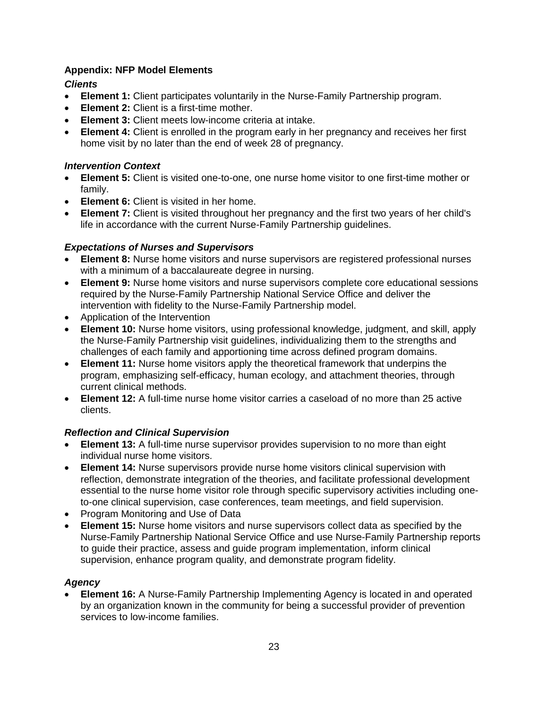#### <span id="page-24-0"></span>**Appendix: NFP Model Elements**

#### *Clients*

- **Element 1:** Client participates voluntarily in the Nurse-Family Partnership program.
- **Element 2:** Client is a first-time mother.
- **Element 3:** Client meets low-income criteria at intake.
- **Element 4:** Client is enrolled in the program early in her pregnancy and receives her first home visit by no later than the end of week 28 of pregnancy.

#### *Intervention Context*

- **Element 5:** Client is visited one-to-one, one nurse home visitor to one first-time mother or family.
- **Element 6:** Client is visited in her home.
- **Element 7:** Client is visited throughout her pregnancy and the first two years of her child's life in accordance with the current Nurse-Family Partnership guidelines.

#### *Expectations of Nurses and Supervisors*

- **Element 8:** Nurse home visitors and nurse supervisors are registered professional nurses with a minimum of a baccalaureate degree in nursing.
- **Element 9:** Nurse home visitors and nurse supervisors complete core educational sessions required by the Nurse-Family Partnership National Service Office and deliver the intervention with fidelity to the Nurse-Family Partnership model.
- Application of the Intervention
- **Element 10:** Nurse home visitors, using professional knowledge, judgment, and skill, apply the Nurse-Family Partnership visit guidelines, individualizing them to the strengths and challenges of each family and apportioning time across defined program domains.
- **Element 11:** Nurse home visitors apply the theoretical framework that underpins the program, emphasizing self-efficacy, human ecology, and attachment theories, through current clinical methods.
- **Element 12:** A full-time nurse home visitor carries a caseload of no more than 25 active clients.

#### *Reflection and Clinical Supervision*

- **Element 13:** A full-time nurse supervisor provides supervision to no more than eight individual nurse home visitors.
- **Element 14:** Nurse supervisors provide nurse home visitors clinical supervision with reflection, demonstrate integration of the theories, and facilitate professional development essential to the nurse home visitor role through specific supervisory activities including oneto-one clinical supervision, case conferences, team meetings, and field supervision.
- Program Monitoring and Use of Data
- **Element 15:** Nurse home visitors and nurse supervisors collect data as specified by the Nurse-Family Partnership National Service Office and use Nurse-Family Partnership reports to guide their practice, assess and guide program implementation, inform clinical supervision, enhance program quality, and demonstrate program fidelity.

#### *Agency*

 **Element 16:** A Nurse-Family Partnership Implementing Agency is located in and operated by an organization known in the community for being a successful provider of prevention services to low-income families.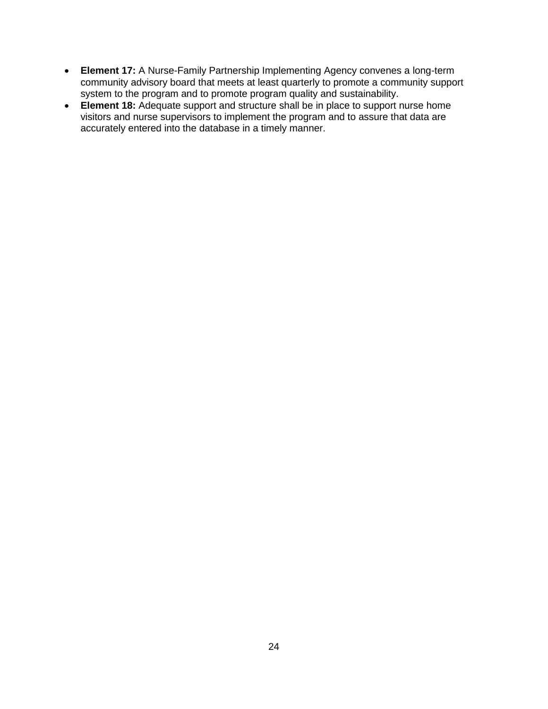- **Element 17:** A Nurse-Family Partnership Implementing Agency convenes a long-term community advisory board that meets at least quarterly to promote a community support system to the program and to promote program quality and sustainability.
- **Element 18:** Adequate support and structure shall be in place to support nurse home visitors and nurse supervisors to implement the program and to assure that data are accurately entered into the database in a timely manner.